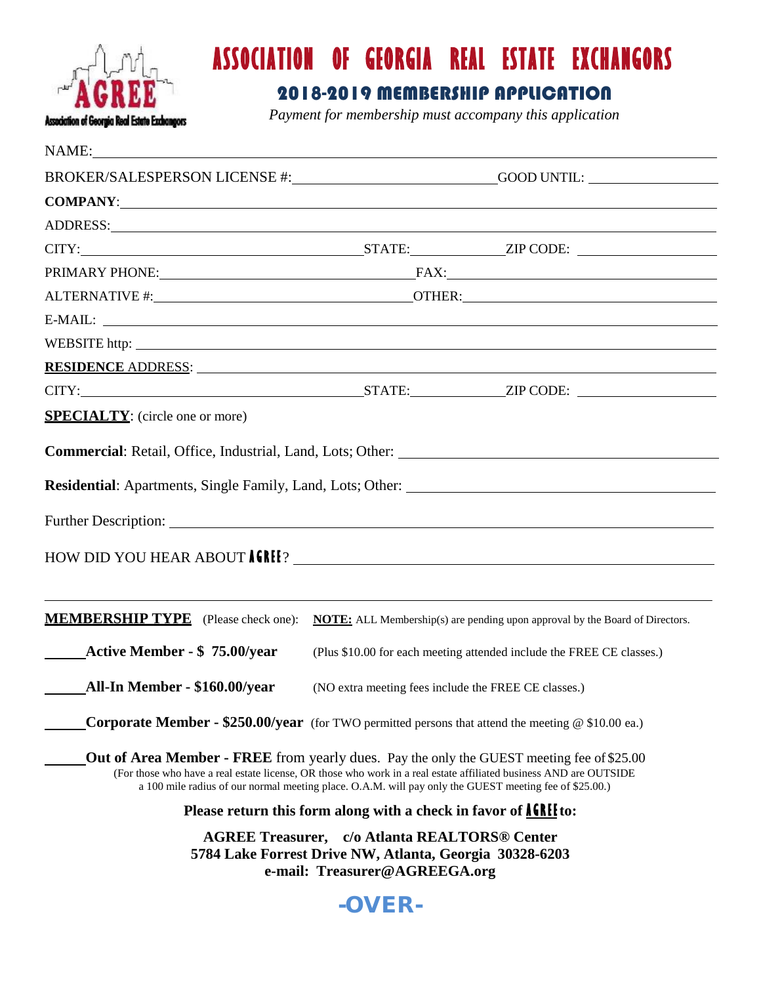

## **ASSOCIATION OF GEORGIA REAL ESTATE EXCHANGORS**

## 2018-2019 MEMBERSHIP APPLICATION

*Payment for membership must accompany this application*

| NAME:                                                                                                                                                                                                                                                                                                                           |                                                                                                                                                  |  |  |
|---------------------------------------------------------------------------------------------------------------------------------------------------------------------------------------------------------------------------------------------------------------------------------------------------------------------------------|--------------------------------------------------------------------------------------------------------------------------------------------------|--|--|
| BROKER/SALESPERSON LICENSE #: GOOD UNTIL: GOOD UNTIL:                                                                                                                                                                                                                                                                           |                                                                                                                                                  |  |  |
| COMPANY: COMPANY:                                                                                                                                                                                                                                                                                                               |                                                                                                                                                  |  |  |
| ADDRESS: New York Contract the Contract of the Contract of the Contract of the Contract of the Contract of the Contract of the Contract of the Contract of the Contract of the Contract of the Contract of the Contract of the                                                                                                  |                                                                                                                                                  |  |  |
|                                                                                                                                                                                                                                                                                                                                 |                                                                                                                                                  |  |  |
|                                                                                                                                                                                                                                                                                                                                 | PRIMARY PHONE: FAX: FAX:                                                                                                                         |  |  |
|                                                                                                                                                                                                                                                                                                                                 |                                                                                                                                                  |  |  |
| $E-MAIL:$                                                                                                                                                                                                                                                                                                                       |                                                                                                                                                  |  |  |
| WEBSITE http://www.accommunity.com/second-community/second-community/second-community/second-community/second-                                                                                                                                                                                                                  |                                                                                                                                                  |  |  |
| <b>RESIDENCE</b> ADDRESS:                                                                                                                                                                                                                                                                                                       |                                                                                                                                                  |  |  |
|                                                                                                                                                                                                                                                                                                                                 |                                                                                                                                                  |  |  |
| <b>SPECIALTY:</b> (circle one or more)                                                                                                                                                                                                                                                                                          |                                                                                                                                                  |  |  |
|                                                                                                                                                                                                                                                                                                                                 |                                                                                                                                                  |  |  |
|                                                                                                                                                                                                                                                                                                                                 |                                                                                                                                                  |  |  |
|                                                                                                                                                                                                                                                                                                                                 |                                                                                                                                                  |  |  |
| Further Description: <u>the contract of the contract of the contract of the contract of the contract of the contract of the contract of the contract of the contract of the contract of the contract of the contract of the cont</u>                                                                                            |                                                                                                                                                  |  |  |
|                                                                                                                                                                                                                                                                                                                                 |                                                                                                                                                  |  |  |
|                                                                                                                                                                                                                                                                                                                                 |                                                                                                                                                  |  |  |
|                                                                                                                                                                                                                                                                                                                                 |                                                                                                                                                  |  |  |
| <b>MEMBERSHIP TYPE</b> (Please check one):                                                                                                                                                                                                                                                                                      | <b>NOTE:</b> ALL Membership(s) are pending upon approval by the Board of Directors.                                                              |  |  |
| <b>Active Member - \$75.00/year</b>                                                                                                                                                                                                                                                                                             | (Plus \$10.00 for each meeting attended include the FREE CE classes.)                                                                            |  |  |
|                                                                                                                                                                                                                                                                                                                                 | (NO extra meeting fees include the FREE CE classes.)                                                                                             |  |  |
| <b>Corporate Member - \$250.00/year</b> (for TWO permitted persons that attend the meeting $\omega$ \$10.00 ea.)                                                                                                                                                                                                                |                                                                                                                                                  |  |  |
| <b>Out of Area Member - FREE</b> from yearly dues. Pay the only the GUEST meeting fee of \$25.00<br>(For those who have a real estate license, OR those who work in a real estate affiliated business AND are OUTSIDE<br>a 100 mile radius of our normal meeting place. O.A.M. will pay only the GUEST meeting fee of \$25.00.) |                                                                                                                                                  |  |  |
|                                                                                                                                                                                                                                                                                                                                 | Please return this form along with a check in favor of <b>AGRIF</b> to:                                                                          |  |  |
|                                                                                                                                                                                                                                                                                                                                 | <b>AGREE Treasurer, c/o Atlanta REALTORS® Center</b><br>5784 Lake Forrest Drive NW, Atlanta, Georgia 30328-6203<br>e-mail: Treasurer@AGREEGA.org |  |  |
|                                                                                                                                                                                                                                                                                                                                 | -OVER-                                                                                                                                           |  |  |